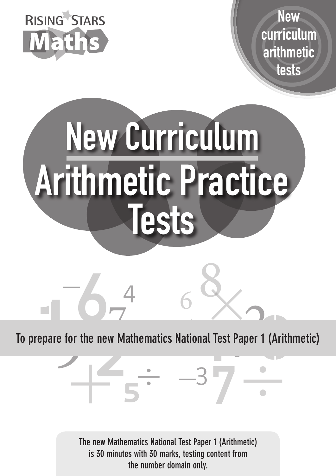

**New** curriculum arithmetic tests



ra<sub>l</sub> e for the new Mathematics National Test Paper 1 new Mathematics National Test P<br>
2<br>
2<br>
2 epare for the new Mathematics National Test Paper 1 (Arith lathem<br> 1 **To prepare for the new Mathematics National Test Paper 1 (Arithmetic)**

6

3

 $\div -37$ 

**The new Mathematics National Test Paper 1 (Arithmetic) is 30 minutes with 30 marks, testing content from the number domain only.**

**5**

 $-4$ 

 $\mathbf{1}$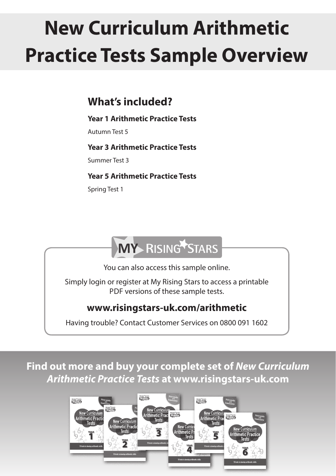## **New Curriculum Arithmetic Practice Tests Sample Overview**

## **What's included?**

#### **Year 1 Arithmetic Practice Tests**

Autumn Test 5

**Year 3 Arithmetic Practice Tests**

Summer Test 3

#### **Year 5 Arithmetic Practice Tests**

Spring Test 1

## **MY RISING STARS**

You can also access this sample online.

Simply login or register at My Rising Stars to access a printable PDF versions of these sample tests.

## **www.risingstars-uk.com/arithmetic**

Having trouble? Contact Customer Services on 0800 091 1602

**Find out more and buy your complete set of** *New Curriculum Arithmetic Practice Tests* **at www.risingstars-uk.com**

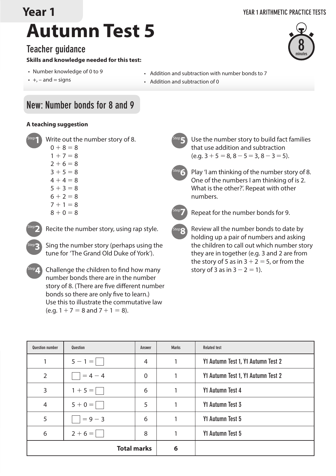## **Year 1**

## **Autumn Test 5**

#### **Teacher guidance**

#### **Skills and knowledge needed for this test:**

- Number knowledge of 0 to 9
- $\cdot$  +, and = signs
- Addition and subtraction with number bonds to 7
- Addition and subtraction of 0

### **New: Number bonds for 8 and 9**

#### **A teaching suggestion**

 $8 + 0 = 8$ 

Write out the number story of 8.  $0 + 8 = 8$  $1 + 7 = 8$  $2 + 6 = 8$  $3 + 5 = 8$  $4 + 4 = 8$  $5 + 3 = 8$  $6 + 2 = 8$  $7 + 1 = 8$ Step**1**



Step**3**

Recite the number story, using rap style.

Sing the number story (perhaps using the tune for 'The Grand Old Duke of York').

<sup>Step</sup>4. Challenge the children to find how many story of 3 as in 3 – 2 = 1). number bonds there are in the number story of 8. (There are five different number bonds so there are only five to learn.) Use this to illustrate the commutative law (e.g.  $1 + 7 = 8$  and  $7 + 1 = 8$ ).

Use the number story to build fact families that use addition and subtraction  $(e.g. 3 + 5 = 8, 8 - 5 = 3, 8 - 3 = 5).$ Play 'I am thinking of the number story of 8. Step**5** Step**6**

One of the numbers I am thinking of is 2. What is the other?'. Repeat with other numbers.



Repeat for the number bonds for 9.

Review all the number bonds to date by holding up a pair of numbers and asking the children to call out which number story they are in together (e.g. 3 and 2 are from the story of 5 as in  $3+2 = 5$ , or from the Step**8**

| <b>Question number</b> | Question  | Answer | <b>Marks</b> | <b>Related test</b>                |
|------------------------|-----------|--------|--------------|------------------------------------|
| 1                      | $5 - 1 =$ | 4      |              | Y1 Autumn Test 1, Y1 Autumn Test 2 |
| $\overline{2}$         | $= 4 - 4$ | 0      |              | Y1 Autumn Test 1, Y1 Autumn Test 2 |
| 3                      | $1 + 5 =$ | 6      |              | Y1 Autumn Test 4                   |
| $\overline{4}$         | $5 + 0 =$ | 5      | 1            | Y1 Autumn Test 3                   |
| 5                      | $= 9 - 3$ | 6      | 1            | Y1 Autumn Test 5                   |
| 6                      | $2+6=$    | 8      |              | Y1 Autumn Test 5                   |
| <b>Total marks</b>     |           |        | 6            |                                    |

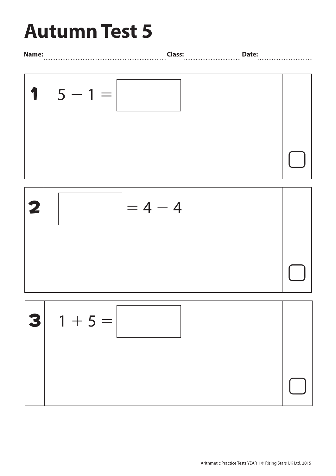# **Autumn Test 5**





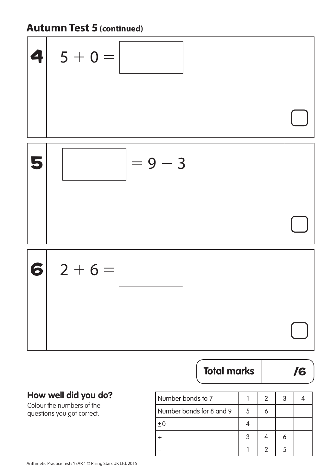## **Autumn Test 5 (continued)**



## **Total marks** /6

#### **How well did you do?**

Colour the numbers of the questions you got correct.

| Number bonds to 7        |   | 2 |  |
|--------------------------|---|---|--|
| Number bonds for 8 and 9 | 5 |   |  |
| ±0                       |   |   |  |
|                          |   |   |  |
|                          |   |   |  |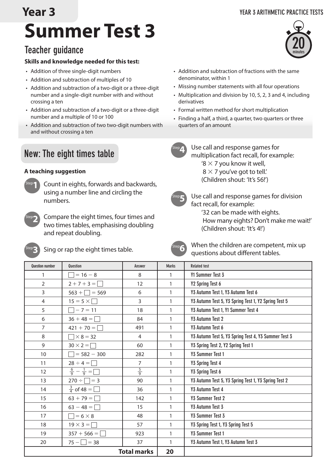## **Year 3**

#### **YEAR 3 ARITHMETIC PRACTICE TESTS**



#### **Teacher guidance**

#### **Skills and knowledge needed for this test:**

- Addition of three single-digit numbers
- Addition and subtraction of multiples of 10
- Addition and subtraction of a two-digit or a three-digit number and a single-digit number with and without crossing a ten
- Addition and subtraction of a two-digit or a three-digit number and a multiple of 10 or 100
- Addition and subtraction of two two-digit numbers with and without crossing a ten

#### **New: The eight times table**

#### **A teaching suggestion**



Count in eights, forwards and backwards, using a number line and circling the numbers.



Compare the eight times, four times and two times tables, emphasising doubling and repeat doubling.



Sing or rap the eight times table.



When the children are competent, mix up questions about different tables.

| <b>Question number</b> | <b>Question</b>               | Answer             | <b>Marks</b> | <b>Related test</b>                                  |
|------------------------|-------------------------------|--------------------|--------------|------------------------------------------------------|
| 1                      | $= 16 - 8$                    | 8                  | 1            | Y1 Summer Test 3                                     |
| $\overline{2}$         | $2 + 7 + 3 = \square$         | 12                 | 1            | Y2 Spring Test 6                                     |
| 3                      | $563 + \square = 569$         | 6                  | 1            | Y3 Autumn Test 1, Y3 Autumn Test 6                   |
| $\overline{4}$         | $15 = 5 \times \square$       | 3                  | 1            | Y3 Autumn Test 5, Y3 Spring Test 1, Y2 Spring Test 5 |
| 5                      | $\Box - 7 = 11$               | 18                 | 1            | Y3 Autumn Test 1, Y1 Summer Test 4                   |
| 6                      | $36 + 48 = \Box$              | 84                 | 1            | Y3 Autumn Test 2                                     |
| $\overline{7}$         | $421 + 70 =$                  | 491                | 1            | Y3 Autumn Test 6                                     |
| 8                      | $\times$ 8 = 32               | 4                  | 1            | Y3 Autumn Test 5, Y3 Spring Test 4, Y3 Summer Test 3 |
| 9                      | $30 \times 2 = \square$       | 60                 | $\mathbf{1}$ | Y3 Spring Test 2, Y2 Spring Test 1                   |
| 10                     | $= 582 - 300$                 | 282                | 1            | <b>Y3 Summer Test 1</b>                              |
| 11                     | $28 \div 4 = \Box$            | $\overline{7}$     | $\mathbf{1}$ | Y3 Spring Test 4                                     |
| 12                     | $\frac{6}{9} - \frac{1}{9} =$ | $\frac{5}{9}$      | $\mathbf{1}$ | Y3 Spring Test 6                                     |
| 13                     | $270 \div \Box = 3$           | 90                 | 1            | Y3 Autumn Test 5, Y3 Spring Test 1, Y3 Spring Test 2 |
| 14                     | $\frac{3}{4}$ of 48 = $\Box$  | 36                 | 1            | Y3 Autumn Test 4                                     |
| 15                     | $63 + 79 = \Box$              | 142                | 1            | Y3 Summer Test 2                                     |
| 16                     | $63 - 48 = \Box$              | 15                 | 1            | Y3 Autumn Test 3                                     |
| 17                     | $= 6 \times 8$                | 48                 | 1            | Y3 Summer Test 3                                     |
| 18                     | $19 \times 3 =$               | 57                 | 1            | Y3 Spring Test 1, Y3 Spring Test 5                   |
| 19                     | $357 + 566 =$                 | 923                | 1            | Y3 Summer Test 1                                     |
| 20                     | $75 -   = 38$                 | 37                 | 1            | Y3 Autumn Test 1, Y3 Autumn Test 3                   |
|                        |                               | <b>Total marks</b> | 20           |                                                      |

- Addition and subtraction of fractions with the same denominator, within 1
- Missing number statements with all four operations
- Multiplication and division by 10, 5, 2, 3 and 4, including derivatives
- Formal written method for short multiplication
- Finding a half, a third, a quarter, two quarters or three quarters of an amount

Use call and response games for multiplication fact recall, for example: '8  $\times$  7 you know it well,  $8 \times 7$  you've got to tell.' (Children shout: 'It's 56!')



Use call and response games for division fact recall, for example: '32 can be made with eights.

How many eights? Don't make me wait!'

(Children shout: 'It's 4!')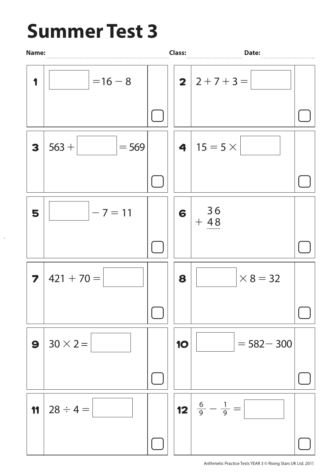## **Summer Test 3**

 $\bar{\beta}$ 

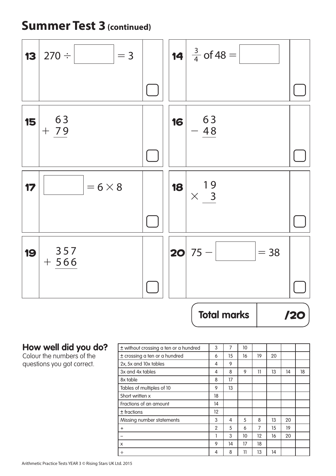## **Summer Test 3 (continued)**



#### **How well did you do?**

Colour the numbers of the questions you got correct.

| ± without crossing a ten or a hundred | 3              | 7  | 10 |    |    |    |    |
|---------------------------------------|----------------|----|----|----|----|----|----|
| ± crossing a ten or a hundred         | 6              | 15 | 16 | 19 | 20 |    |    |
| 2x, 5x and 10x tables                 | 4              | 9  |    |    |    |    |    |
| 3x and 4x tables                      | 4              | 8  | 9  | 11 | 13 | 14 | 18 |
| 8x table                              | 8              | 17 |    |    |    |    |    |
| Tables of multiples of 10             | 9              | 13 |    |    |    |    |    |
| Short written x                       | 18             |    |    |    |    |    |    |
| Fractions of an amount                | 14             |    |    |    |    |    |    |
| $±$ fractions                         | 12             |    |    |    |    |    |    |
| Missing number statements             | 3              | 4  | 5  | 8  | 13 | 20 |    |
| $\ddot{}$                             | $\overline{2}$ | 5  | 6  | 7  | 15 | 19 |    |
|                                       |                | 3  | 10 | 12 | 16 | 20 |    |
| X                                     | 9              | 14 | 17 | 18 |    |    |    |
| ÷                                     | 4              | 8  | 11 | 13 | 14 |    |    |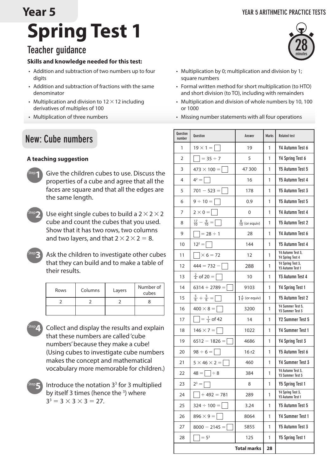#### **YEAR 5 ARITHMETIC PRACTICE TESTS**

## **Spring Test 1 Year 5**

## **Teacher guidance**

#### **Skills and knowledge needed for this test:**

- Addition and subtraction of two numbers up to four digits
- Addition and subtraction of fractions with the same denominator
- Multiplication and division to  $12\times12$  including derivatives of multiples of 100
- • Multiplication of three numbers

### **New: Cube numbers**

#### **A teaching suggestion**



Give the children cubes to use. Discuss the properties of a cube and agree that all the faces are square and that all the edges are the same length.



Step**3**

Use eight single cubes to build a  $2 \times 2 \times 2$ cube and count the cubes that you used. Show that it has two rows, two columns and two layers, and that  $2 \times 2 \times 2 = 8$ .

Ask the children to investigate other cubes that they can build and to make a table of their results.

| Rows | Columns | Layers | Number of<br>cubes |
|------|---------|--------|--------------------|
|      |         |        |                    |
|      |         |        |                    |

- Collect and display the results and explain that these numbers are called 'cube numbers' because they make a cube! (Using cubes to investigate cube numbers makes the concept and mathematical vocabulary more memorable for children.) Step**4**
- Introduce the notation  $3<sup>3</sup>$  for 3 multiplied by itself 3 times (hence the <sup>3</sup>) where  $3^3 = 3 \times 3 \times 3 = 27$ . Step**5**



- Multiplication by 0; multiplication and division by 1; square numbers
- Formal written method for short multiplication (to HTO) and short division (to TO), including with remainders
- • Multiplication and division of whole numbers by 10, 100 or 1000
- • Missing number statements with all four operations

| <b>Question</b><br>number | <b>Question</b>                    | Answer                    | <b>Marks</b> | <b>Related test</b>                   |
|---------------------------|------------------------------------|---------------------------|--------------|---------------------------------------|
| 1                         | $19 \times 1 =$                    | 19                        | 1            | Y4 Autumn Test 6                      |
| $\mathcal{P}$             | $\Box$ = 35 ÷ 7                    | 5                         | 1            | Y4 Spring Test 6                      |
| 3                         | $473 \times 100 =$                 | 47 300                    | 1            | Y5 Autumn Test 5                      |
| 4                         | $4^2 = \Box$                       | 16                        | 1            | <b>Y5 Autumn Test 4</b>               |
| 5                         | $701 - 523 =$                      | 178                       | 1            | Y5 Autumn Test 3                      |
| 6                         | $9 \div 10 =$                      | 0.9                       | 1            | Y5 Autumn Test 5                      |
| 7                         | $2 \times 0 =$                     | 0                         | 1            | Y4 Autumn Test 4                      |
| 8                         | $\frac{17}{10} - \frac{9}{10} =$   | $\frac{8}{10}$ (or equiv) | 1            | <b>Y5 Autumn Test 2</b>               |
| 9                         | $\Box$ = 28 ÷ 1                    | 28                        | 1            | Y4 Autumn Test 6                      |
| 10                        | $12^2 = \Box$                      | 144                       | 1            | <b>Y5 Autumn Test 4</b>               |
| 11                        | $\left[\times 6 = 72\right]$       | 12                        | 1            | Y4 Autumn Test 3,<br>Y4 Spring Test 4 |
| 12                        | $444 = 732 -$                      | 288                       | 1            | Y4 Spring Test 3,<br>Y3 Autumn Test 1 |
| 13                        | $\frac{2}{4}$ of 20 =              | 10                        | 1            | Y3 Autumn Test 4                      |
| 14                        | $6314 + 2789 =$                    | 9103                      | 1            | Y4 Spring Test 1                      |
| 15                        | $\frac{5}{6} + \frac{5}{6} = \Box$ | $1\frac{4}{6}$ (or equiv) | 1            | <b>Y5 Autumn Test 2</b>               |
| 16                        | $400 \times 8 =$                   | 3200                      | 1            | Y4 Summer Test 5,<br>Y3 Summer Test 3 |
| 17                        | $\Box = \frac{1}{3}$ of 42         | 14                        | 1            | Y2 Summer Test 5                      |
| 18                        | $146 \times 7 =$                   | 1022                      | 1            | <b>Y4 Summer Test 1</b>               |
| 19                        | $6512 - 1826 =$                    | 4686                      | 1            | Y4 Spring Test 3                      |
| 20                        | $98 \div 6 =$                      | 16r2                      | 1            | Y5 Autumn Test 6                      |
| 21                        | $5 \times 46 \times 2 =$           | 460                       | 1            | Y4 Summer Test 3                      |
| 22                        | $48 = 38$                          | 384                       | 1            | Y4 Autumn Test 3,<br>Y3 Summer Test 3 |
| 23                        | $2^3 =$                            | 8                         | 1            | Y5 Spring Test 1                      |
| 24                        | $+ 492 = 781$                      | 289                       | 1            | Y4 Spring Test 3,<br>Y3 Autumn Test 1 |
| 25                        | $324 \div 100 =$                   | 3.24                      | 1            | <b>Y5 Autumn Test 5</b>               |
| 26                        | $896 \times 9 =$                   | 8064                      | 1            | Y4 Summer Test 1                      |
| 27                        | $8000 - 2145 =$                    | 5855                      | 1            | Y5 Autumn Test 3                      |
| 28                        | $= 53$                             | 125                       | 1            | <b>Y5 Spring Test 1</b>               |
|                           |                                    | <b>Total marks</b>        | 28           |                                       |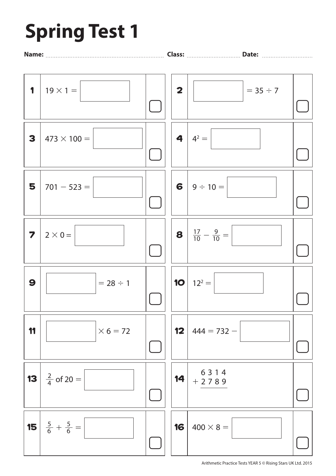# **Spring Test 1**